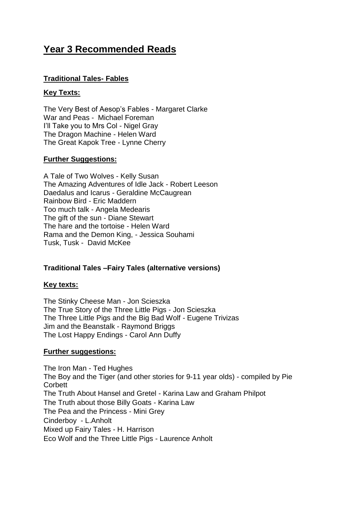# **Year 3 Recommended Reads**

# **Traditional Tales- Fables**

### **Key Texts:**

The Very Best of Aesop's Fables - Margaret Clarke War and Peas - Michael Foreman I'll Take you to Mrs Col - Nigel Gray The Dragon Machine - Helen Ward The Great Kapok Tree - Lynne Cherry

### **Further Suggestions:**

A Tale of Two Wolves - Kelly Susan The Amazing Adventures of Idle Jack - Robert Leeson Daedalus and Icarus - Geraldine McCaugrean Rainbow Bird - Eric Maddern Too much talk - Angela Medearis The gift of the sun - Diane Stewart The hare and the tortoise - Helen Ward Rama and the Demon King, - Jessica Souhami Tusk, Tusk - David McKee

# **Traditional Tales –Fairy Tales (alternative versions)**

# **Key texts:**

The Stinky Cheese Man - Jon Scieszka The True Story of the Three Little Pigs - Jon Scieszka The Three Little Pigs and the Big Bad Wolf - Eugene Trivizas Jim and the Beanstalk - Raymond Briggs The Lost Happy Endings - Carol Ann Duffy

#### **Further suggestions:**

The Iron Man - Ted Hughes The Boy and the Tiger (and other stories for 9-11 year olds) - compiled by Pie **Corbett** The Truth About Hansel and Gretel - Karina Law and Graham Philpot The Truth about those Billy Goats - Karina Law The Pea and the Princess - Mini Grey Cinderboy - L.Anholt Mixed up Fairy Tales - H. Harrison Eco Wolf and the Three Little Pigs - Laurence Anholt